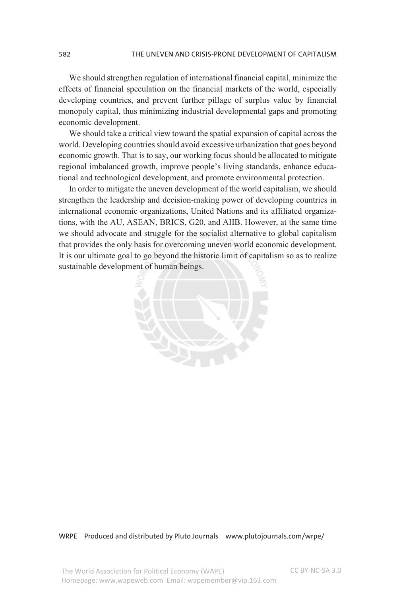We should strengthen regulation of international financial capital, minimize the effects of financial speculation on the financial markets of the world, especially developing countries, and prevent further pillage of surplus value by financial monopoly capital, thus minimizing industrial developmental gaps and promoting economic development.

We should take a critical view toward the spatial expansion of capital across the world. Developing countries should avoid excessive urbanization that goes beyond economic growth. That is to say, our working focus should be allocated to mitigate regional imbalanced growth, improve people's living standards, enhance educational and technological development, and promote environmental protection.

In order to mitigate the uneven development of the world capitalism, we should strengthen the leadership and decision-making power of developing countries in international economic organizations, United Nations and its affiliated organizations, with the AU, ASEAN, BRICS, G20, and AIIB. However, at the same time we should advocate and struggle for the socialist alternative to global capitalism that provides the only basis for overcoming uneven world economic development. It is our ultimate goal to go beyond the historic limit of capitalism so as to realize sustainable development of human beings.

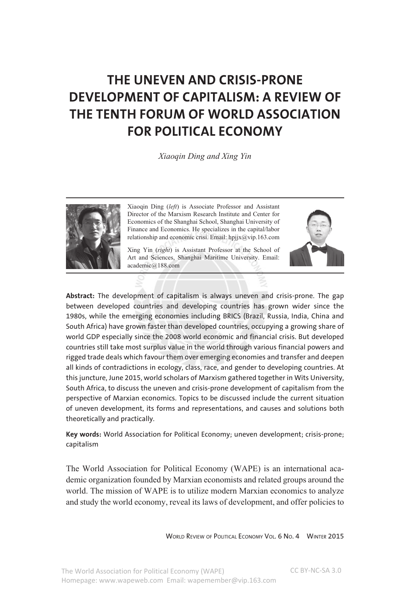# **THE UNEVEN AND CRISIS-PRONE DEVELOPMENT OF CAPITALISM: A REVIEW OF THE TENTH FORUM OF WORLD ASSOCIATION FOR POLITICAL ECONOMY**

*Xiaoqin Ding and Xing Yin*



Xiaoqin Ding (*left*) is Associate Professor and Assistant Director of the Marxism Research Institute and Center for Economics of the Shanghai School, Shanghai University of Finance and Economics. He specializes in the capital/labor relationship and economic crisi. Email: hpjjx@vip.163.com

Xing Yin (*right*) is Assistant Professor at the School of Art and Sciences, Shanghai Maritime University. Email: academic@188.com



**Abstract:** The development of capitalism is always uneven and crisis-prone. The gap between developed countries and developing countries has grown wider since the 1980s, while the emerging economies including BRICS (Brazil, Russia, India, China and South Africa) have grown faster than developed countries, occupying a growing share of world GDP especially since the 2008 world economic and financial crisis. But developed countries still take most surplus value in the world through various financial powers and rigged trade deals which favour them over emerging economies and transfer and deepen all kinds of contradictions in ecology, class, race, and gender to developing countries. At this juncture, June 2015, world scholars of Marxism gathered together in Wits University, South Africa, to discuss the uneven and crisis-prone development of capitalism from the perspective of Marxian economics. Topics to be discussed include the current situation of uneven development, its forms and representations, and causes and solutions both theoretically and practically.

**Key words:** World Association for Political Economy; uneven development; crisis-prone; capitalism

The World Association for Political Economy (WAPE) is an international academic organization founded by Marxian economists and related groups around the world. The mission of WAPE is to utilize modern Marxian economics to analyze and study the world economy, reveal its laws of development, and offer policies to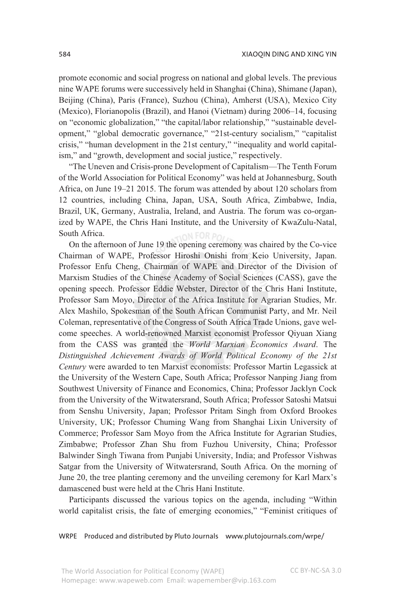promote economic and social progress on national and global levels. The previous nine WAPE forums were successively held in Shanghai (China), Shimane (Japan), Beijing (China), Paris (France), Suzhou (China), Amherst (USA), Mexico City (Mexico), Florianopolis (Brazil), and Hanoi (Vietnam) during 2006–14, focusing on "economic globalization," "the capital/labor relationship," "sustainable development," "global democratic governance," "21st-century socialism," "capitalist crisis," "human development in the 21st century," "inequality and world capitalism," and "growth, development and social justice," respectively.

"The Uneven and Crisis-prone Development of Capitalism—The Tenth Forum of the World Association for Political Economy" was held at Johannesburg, South Africa, on June 19–21 2015. The forum was attended by about 120 scholars from 12 countries, including China, Japan, USA, South Africa, Zimbabwe, India, Brazil, UK, Germany, Australia, Ireland, and Austria. The forum was co-organized by WAPE, the Chris Hani Institute, and the University of KwaZulu-Natal, South Africa.

On the afternoon of June 19 the opening ceremony was chaired by the Co-vice Chairman of WAPE, Professor Hiroshi Onishi from Keio University, Japan. Professor Enfu Cheng, Chairman of WAPE and Director of the Division of Marxism Studies of the Chinese Academy of Social Sciences (CASS), gave the opening speech. Professor Eddie Webster, Director of the Chris Hani Institute, Professor Sam Moyo, Director of the Africa Institute for Agrarian Studies, Mr. Alex Mashilo, Spokesman of the South African Communist Party, and Mr. Neil Coleman, representative of the Congress of South Africa Trade Unions, gave welcome speeches. A world-renowned Marxist economist Professor Qiyuan Xiang from the CASS was granted the *World Marxian Economics Award*. The *Distinguished Achievement Awards of World Political Economy of the 21st Century* were awarded to ten Marxist economists: Professor Martin Legassick at the University of the Western Cape, South Africa; Professor Nanping Jiang from Southwest University of Finance and Economics, China; Professor Jacklyn Cock from the University of the Witwatersrand, South Africa; Professor Satoshi Matsui from Senshu University, Japan; Professor Pritam Singh from Oxford Brookes University, UK; Professor Chuming Wang from Shanghai Lixin University of Commerce; Professor Sam Moyo from the Africa Institute for Agrarian Studies, Zimbabwe; Professor Zhan Shu from Fuzhou University, China; Professor Balwinder Singh Tiwana from Punjabi University, India; and Professor Vishwas Satgar from the University of Witwatersrand, South Africa. On the morning of June 20, the tree planting ceremony and the unveiling ceremony for Karl Marx's damascened bust were held at the Chris Hani Institute.

Participants discussed the various topics on the agenda, including "Within world capitalist crisis, the fate of emerging economies," "Feminist critiques of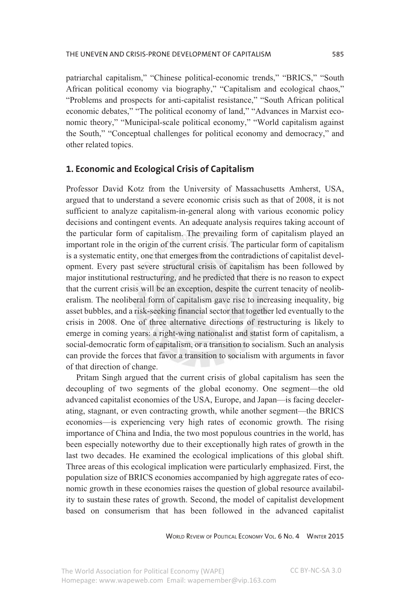patriarchal capitalism," "Chinese political-economic trends," "BRICS," "South African political economy via biography," "Capitalism and ecological chaos," "Problems and prospects for anti-capitalist resistance," "South African political economic debates," "The political economy of land," "Advances in Marxist economic theory," "Municipal-scale political economy," "World capitalism against the South," "Conceptual challenges for political economy and democracy," and other related topics.

## **1. Economic and Ecological Crisis of Capitalism**

Professor David Kotz from the University of Massachusetts Amherst, USA, argued that to understand a severe economic crisis such as that of 2008, it is not sufficient to analyze capitalism-in-general along with various economic policy decisions and contingent events. An adequate analysis requires taking account of the particular form of capitalism. The prevailing form of capitalism played an important role in the origin of the current crisis. The particular form of capitalism is a systematic entity, one that emerges from the contradictions of capitalist development. Every past severe structural crisis of capitalism has been followed by major institutional restructuring, and he predicted that there is no reason to expect that the current crisis will be an exception, despite the current tenacity of neoliberalism. The neoliberal form of capitalism gave rise to increasing inequality, big asset bubbles, and a risk-seeking financial sector that together led eventually to the crisis in 2008. One of three alternative directions of restructuring is likely to emerge in coming years: a right-wing nationalist and statist form of capitalism, a social-democratic form of capitalism, or a transition to socialism. Such an analysis can provide the forces that favor a transition to socialism with arguments in favor of that direction of change.

Pritam Singh argued that the current crisis of global capitalism has seen the decoupling of two segments of the global economy. One segment—the old advanced capitalist economies of the USA, Europe, and Japan—is facing decelerating, stagnant, or even contracting growth, while another segment—the BRICS economies—is experiencing very high rates of economic growth. The rising importance of China and India, the two most populous countries in the world, has been especially noteworthy due to their exceptionally high rates of growth in the last two decades. He examined the ecological implications of this global shift. Three areas of this ecological implication were particularly emphasized. First, the population size of BRICS economies accompanied by high aggregate rates of economic growth in these economies raises the question of global resource availability to sustain these rates of growth. Second, the model of capitalist development based on consumerism that has been followed in the advanced capitalist

World Review of Political Economy Vol. 6 No. 4 Winter 2015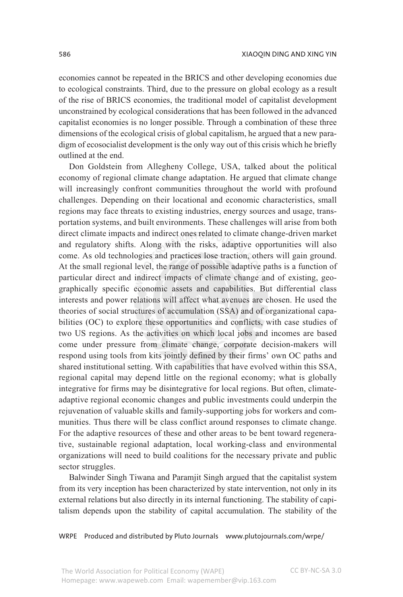economies cannot be repeated in the BRICS and other developing economies due to ecological constraints. Third, due to the pressure on global ecology as a result of the rise of BRICS economies, the traditional model of capitalist development unconstrained by ecological considerations that has been followed in the advanced capitalist economies is no longer possible. Through a combination of these three dimensions of the ecological crisis of global capitalism, he argued that a new paradigm of ecosocialist development is the only way out of this crisis which he briefly outlined at the end.

Don Goldstein from Allegheny College, USA, talked about the political economy of regional climate change adaptation. He argued that climate change will increasingly confront communities throughout the world with profound challenges. Depending on their locational and economic characteristics, small regions may face threats to existing industries, energy sources and usage, transportation systems, and built environments. These challenges will arise from both direct climate impacts and indirect ones related to climate change-driven market and regulatory shifts. Along with the risks, adaptive opportunities will also come. As old technologies and practices lose traction, others will gain ground. At the small regional level, the range of possible adaptive paths is a function of particular direct and indirect impacts of climate change and of existing, geographically specific economic assets and capabilities. But differential class interests and power relations will affect what avenues are chosen. He used the theories of social structures of accumulation (SSA) and of organizational capabilities (OC) to explore these opportunities and conflicts, with case studies of two US regions. As the activities on which local jobs and incomes are based come under pressure from climate change, corporate decision-makers will respond using tools from kits jointly defined by their firms' own OC paths and shared institutional setting. With capabilities that have evolved within this SSA, regional capital may depend little on the regional economy; what is globally integrative for firms may be disintegrative for local regions. But often, climateadaptive regional economic changes and public investments could underpin the rejuvenation of valuable skills and family-supporting jobs for workers and communities. Thus there will be class conflict around responses to climate change. For the adaptive resources of these and other areas to be bent toward regenerative, sustainable regional adaptation, local working-class and environmental organizations will need to build coalitions for the necessary private and public sector struggles.

Balwinder Singh Tiwana and Paramjit Singh argued that the capitalist system from its very inception has been characterized by state intervention, not only in its external relations but also directly in its internal functioning. The stability of capitalism depends upon the stability of capital accumulation. The stability of the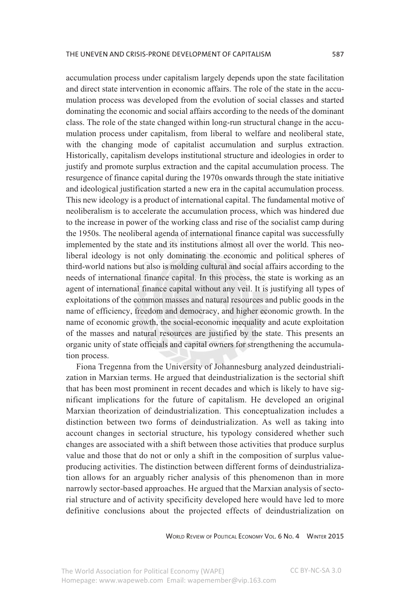accumulation process under capitalism largely depends upon the state facilitation and direct state intervention in economic affairs. The role of the state in the accumulation process was developed from the evolution of social classes and started dominating the economic and social affairs according to the needs of the dominant class. The role of the state changed within long-run structural change in the accumulation process under capitalism, from liberal to welfare and neoliberal state, with the changing mode of capitalist accumulation and surplus extraction. Historically, capitalism develops institutional structure and ideologies in order to justify and promote surplus extraction and the capital accumulation process. The resurgence of finance capital during the 1970s onwards through the state initiative and ideological justification started a new era in the capital accumulation process. This new ideology is a product of international capital. The fundamental motive of neoliberalism is to accelerate the accumulation process, which was hindered due to the increase in power of the working class and rise of the socialist camp during the 1950s. The neoliberal agenda of international finance capital was successfully implemented by the state and its institutions almost all over the world. This neoliberal ideology is not only dominating the economic and political spheres of third-world nations but also is molding cultural and social affairs according to the needs of international finance capital. In this process, the state is working as an agent of international finance capital without any veil. It is justifying all types of exploitations of the common masses and natural resources and public goods in the name of efficiency, freedom and democracy, and higher economic growth. In the name of economic growth, the social-economic inequality and acute exploitation of the masses and natural resources are justified by the state. This presents an organic unity of state officials and capital owners for strengthening the accumulation process.

Fiona Tregenna from the University of Johannesburg analyzed deindustrialization in Marxian terms. He argued that deindustrialization is the sectorial shift that has been most prominent in recent decades and which is likely to have significant implications for the future of capitalism. He developed an original Marxian theorization of deindustrialization. This conceptualization includes a distinction between two forms of deindustrialization. As well as taking into account changes in sectorial structure, his typology considered whether such changes are associated with a shift between those activities that produce surplus value and those that do not or only a shift in the composition of surplus valueproducing activities. The distinction between different forms of deindustrialization allows for an arguably richer analysis of this phenomenon than in more narrowly sector-based approaches. He argued that the Marxian analysis of sectorial structure and of activity specificity developed here would have led to more definitive conclusions about the projected effects of deindustrialization on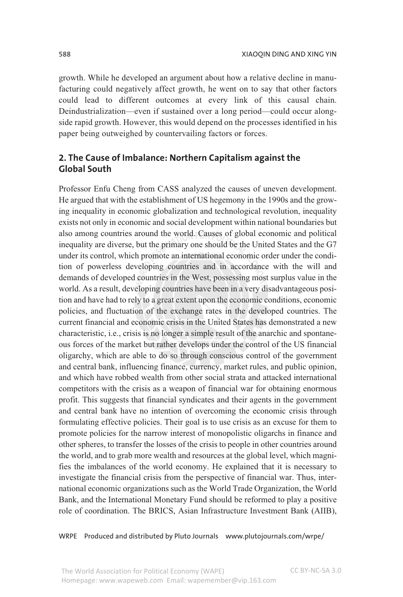growth. While he developed an argument about how a relative decline in manufacturing could negatively affect growth, he went on to say that other factors could lead to different outcomes at every link of this causal chain. Deindustrialization—even if sustained over a long period—could occur alongside rapid growth. However, this would depend on the processes identified in his paper being outweighed by countervailing factors or forces.

# **2. The Cause of Imbalance: Northern Capitalism against the Global South**

Professor Enfu Cheng from CASS analyzed the causes of uneven development. He argued that with the establishment of US hegemony in the 1990s and the growing inequality in economic globalization and technological revolution, inequality exists not only in economic and social development within national boundaries but also among countries around the world. Causes of global economic and political inequality are diverse, but the primary one should be the United States and the G7 under its control, which promote an international economic order under the condition of powerless developing countries and in accordance with the will and demands of developed countries in the West, possessing most surplus value in the world. As a result, developing countries have been in a very disadvantageous position and have had to rely to a great extent upon the economic conditions, economic policies, and fluctuation of the exchange rates in the developed countries. The current financial and economic crisis in the United States has demonstrated a new characteristic, i.e., crisis is no longer a simple result of the anarchic and spontaneous forces of the market but rather develops under the control of the US financial oligarchy, which are able to do so through conscious control of the government and central bank, influencing finance, currency, market rules, and public opinion, and which have robbed wealth from other social strata and attacked international competitors with the crisis as a weapon of financial war for obtaining enormous profit. This suggests that financial syndicates and their agents in the government and central bank have no intention of overcoming the economic crisis through formulating effective policies. Their goal is to use crisis as an excuse for them to promote policies for the narrow interest of monopolistic oligarchs in finance and other spheres, to transfer the losses of the crisis to people in other countries around the world, and to grab more wealth and resources at the global level, which magnifies the imbalances of the world economy. He explained that it is necessary to investigate the financial crisis from the perspective of financial war. Thus, international economic organizations such as the World Trade Organization, the World Bank, and the International Monetary Fund should be reformed to play a positive role of coordination. The BRICS, Asian Infrastructure Investment Bank (AIIB),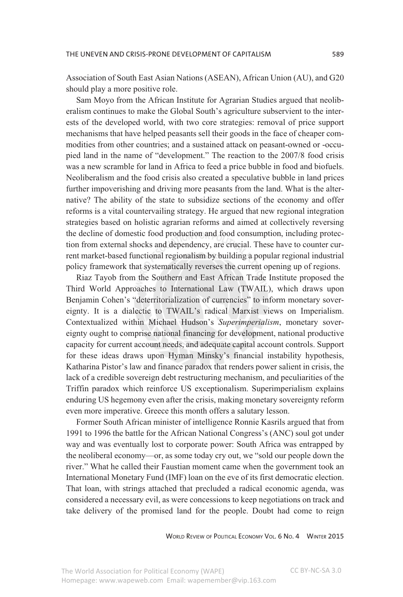Association of South East Asian Nations (ASEAN), African Union (AU), and G20 should play a more positive role.

Sam Moyo from the African Institute for Agrarian Studies argued that neoliberalism continues to make the Global South's agriculture subservient to the interests of the developed world, with two core strategies: removal of price support mechanisms that have helped peasants sell their goods in the face of cheaper commodities from other countries; and a sustained attack on peasant-owned or -occupied land in the name of "development." The reaction to the 2007/8 food crisis was a new scramble for land in Africa to feed a price bubble in food and biofuels. Neoliberalism and the food crisis also created a speculative bubble in land prices further impoverishing and driving more peasants from the land. What is the alternative? The ability of the state to subsidize sections of the economy and offer reforms is a vital countervailing strategy. He argued that new regional integration strategies based on holistic agrarian reforms and aimed at collectively reversing the decline of domestic food production and food consumption, including protection from external shocks and dependency, are crucial. These have to counter current market-based functional regionalism by building a popular regional industrial policy framework that systematically reverses the current opening up of regions.

Riaz Tayob from the Southern and East African Trade Institute proposed the Third World Approaches to International Law (TWAIL), which draws upon Benjamin Cohen's "deterritorialization of currencies" to inform monetary sovereignty. It is a dialectic to TWAIL's radical Marxist views on Imperialism. Contextualized within Michael Hudson's *Superimperialism*, monetary sovereignty ought to comprise national financing for development, national productive capacity for current account needs, and adequate capital account controls. Support for these ideas draws upon Hyman Minsky's financial instability hypothesis, Katharina Pistor's law and finance paradox that renders power salient in crisis, the lack of a credible sovereign debt restructuring mechanism, and peculiarities of the Triffin paradox which reinforce US exceptionalism. Superimperialism explains enduring US hegemony even after the crisis, making monetary sovereignty reform even more imperative. Greece this month offers a salutary lesson.

Former South African minister of intelligence Ronnie Kasrils argued that from 1991 to 1996 the battle for the African National Congress's (ANC) soul got under way and was eventually lost to corporate power: South Africa was entrapped by the neoliberal economy—or, as some today cry out, we "sold our people down the river." What he called their Faustian moment came when the government took an International Monetary Fund (IMF) loan on the eve of its first democratic election. That loan, with strings attached that precluded a radical economic agenda, was considered a necessary evil, as were concessions to keep negotiations on track and take delivery of the promised land for the people. Doubt had come to reign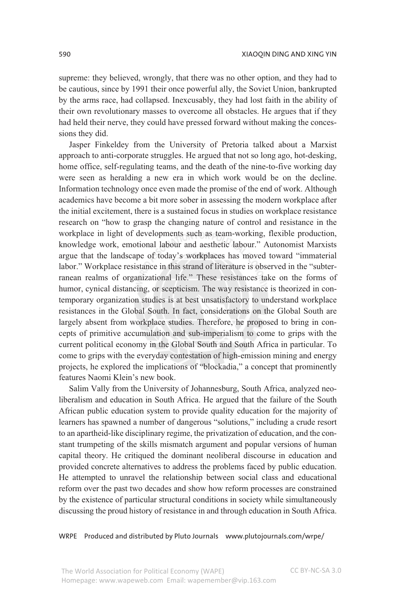supreme: they believed, wrongly, that there was no other option, and they had to be cautious, since by 1991 their once powerful ally, the Soviet Union, bankrupted by the arms race, had collapsed. Inexcusably, they had lost faith in the ability of their own revolutionary masses to overcome all obstacles. He argues that if they had held their nerve, they could have pressed forward without making the concessions they did.

Jasper Finkeldey from the University of Pretoria talked about a Marxist approach to anti-corporate struggles. He argued that not so long ago, hot-desking, home office, self-regulating teams, and the death of the nine-to-five working day were seen as heralding a new era in which work would be on the decline. Information technology once even made the promise of the end of work. Although academics have become a bit more sober in assessing the modern workplace after the initial excitement, there is a sustained focus in studies on workplace resistance research on "how to grasp the changing nature of control and resistance in the workplace in light of developments such as team-working, flexible production, knowledge work, emotional labour and aesthetic labour." Autonomist Marxists argue that the landscape of today's workplaces has moved toward "immaterial labor." Workplace resistance in this strand of literature is observed in the "subterranean realms of organizational life." These resistances take on the forms of humor, cynical distancing, or scepticism. The way resistance is theorized in contemporary organization studies is at best unsatisfactory to understand workplace resistances in the Global South. In fact, considerations on the Global South are largely absent from workplace studies. Therefore, he proposed to bring in concepts of primitive accumulation and sub-imperialism to come to grips with the current political economy in the Global South and South Africa in particular. To come to grips with the everyday contestation of high-emission mining and energy projects, he explored the implications of "blockadia," a concept that prominently features Naomi Klein's new book.

Salim Vally from the University of Johannesburg, South Africa, analyzed neoliberalism and education in South Africa. He argued that the failure of the South African public education system to provide quality education for the majority of learners has spawned a number of dangerous "solutions," including a crude resort to an apartheid-like disciplinary regime, the privatization of education, and the constant trumpeting of the skills mismatch argument and popular versions of human capital theory. He critiqued the dominant neoliberal discourse in education and provided concrete alternatives to address the problems faced by public education. He attempted to unravel the relationship between social class and educational reform over the past two decades and show how reform processes are constrained by the existence of particular structural conditions in society while simultaneously discussing the proud history of resistance in and through education in South Africa.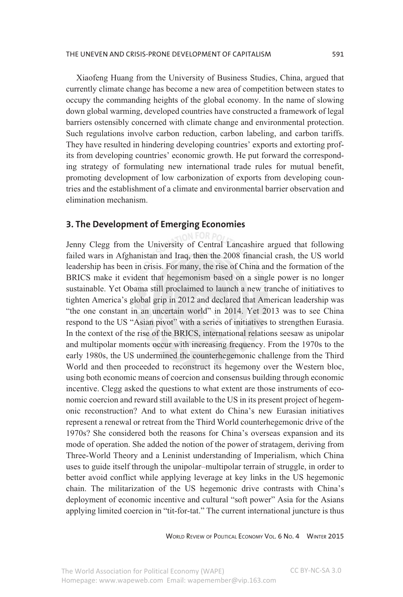Xiaofeng Huang from the University of Business Studies, China, argued that currently climate change has become a new area of competition between states to occupy the commanding heights of the global economy. In the name of slowing down global warming, developed countries have constructed a framework of legal barriers ostensibly concerned with climate change and environmental protection. Such regulations involve carbon reduction, carbon labeling, and carbon tariffs. They have resulted in hindering developing countries' exports and extorting profits from developing countries' economic growth. He put forward the corresponding strategy of formulating new international trade rules for mutual benefit, promoting development of low carbonization of exports from developing countries and the establishment of a climate and environmental barrier observation and elimination mechanism.

# **3. The Development of Emerging Economies**

Jenny Clegg from the University of Central Lancashire argued that following failed wars in Afghanistan and Iraq, then the 2008 financial crash, the US world leadership has been in crisis. For many, the rise of China and the formation of the BRICS make it evident that hegemonism based on a single power is no longer sustainable. Yet Obama still proclaimed to launch a new tranche of initiatives to tighten America's global grip in 2012 and declared that American leadership was "the one constant in an uncertain world" in 2014. Yet 2013 was to see China respond to the US "Asian pivot" with a series of initiatives to strengthen Eurasia. In the context of the rise of the BRICS, international relations seesaw as unipolar and multipolar moments occur with increasing frequency. From the 1970s to the early 1980s, the US undermined the counterhegemonic challenge from the Third World and then proceeded to reconstruct its hegemony over the Western bloc, using both economic means of coercion and consensus building through economic incentive. Clegg asked the questions to what extent are those instruments of economic coercion and reward still available to the US in its present project of hegemonic reconstruction? And to what extent do China's new Eurasian initiatives represent a renewal or retreat from the Third World counterhegemonic drive of the 1970s? She considered both the reasons for China's overseas expansion and its mode of operation. She added the notion of the power of stratagem, deriving from Three-World Theory and a Leninist understanding of Imperialism, which China uses to guide itself through the unipolar–multipolar terrain of struggle, in order to better avoid conflict while applying leverage at key links in the US hegemonic chain. The militarization of the US hegemonic drive contrasts with China's deployment of economic incentive and cultural "soft power" Asia for the Asians applying limited coercion in "tit-for-tat." The current international juncture is thus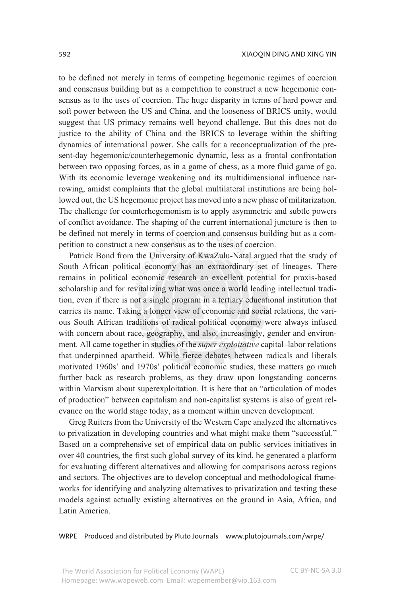to be defined not merely in terms of competing hegemonic regimes of coercion and consensus building but as a competition to construct a new hegemonic consensus as to the uses of coercion. The huge disparity in terms of hard power and soft power between the US and China, and the looseness of BRICS unity, would suggest that US primacy remains well beyond challenge. But this does not do justice to the ability of China and the BRICS to leverage within the shifting dynamics of international power. She calls for a reconceptualization of the present-day hegemonic/counterhegemonic dynamic, less as a frontal confrontation between two opposing forces, as in a game of chess, as a more fluid game of go. With its economic leverage weakening and its multidimensional influence narrowing, amidst complaints that the global multilateral institutions are being hollowed out, the US hegemonic project has moved into a new phase of militarization. The challenge for counterhegemonism is to apply asymmetric and subtle powers of conflict avoidance. The shaping of the current international juncture is then to be defined not merely in terms of coercion and consensus building but as a competition to construct a new consensus as to the uses of coercion.

Patrick Bond from the University of KwaZulu-Natal argued that the study of South African political economy has an extraordinary set of lineages. There remains in political economic research an excellent potential for praxis-based scholarship and for revitalizing what was once a world leading intellectual tradition, even if there is not a single program in a tertiary educational institution that carries its name. Taking a longer view of economic and social relations, the various South African traditions of radical political economy were always infused with concern about race, geography, and also, increasingly, gender and environment. All came together in studies of the *super exploitative* capital–labor relations that underpinned apartheid. While fierce debates between radicals and liberals motivated 1960s' and 1970s' political economic studies, these matters go much further back as research problems, as they draw upon longstanding concerns within Marxism about superexploitation. It is here that an "articulation of modes of production" between capitalism and non-capitalist systems is also of great relevance on the world stage today, as a moment within uneven development.

Greg Ruiters from the University of the Western Cape analyzed the alternatives to privatization in developing countries and what might make them "successful." Based on a comprehensive set of empirical data on public services initiatives in over 40 countries, the first such global survey of its kind, he generated a platform for evaluating different alternatives and allowing for comparisons across regions and sectors. The objectives are to develop conceptual and methodological frameworks for identifying and analyzing alternatives to privatization and testing these models against actually existing alternatives on the ground in Asia, Africa, and Latin America.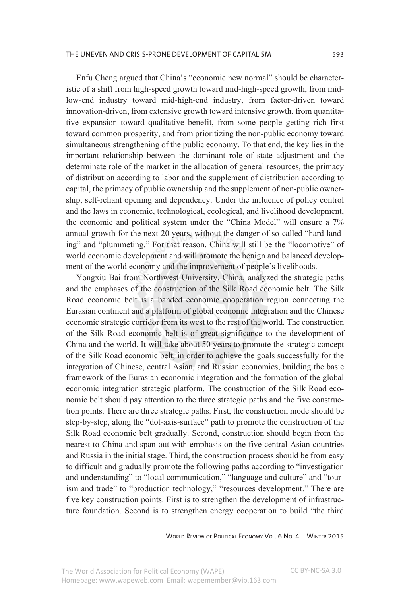#### THE UNEVEN AND CRISIS-PRONE DEVELOPMENT OF CAPITALISM 593

Enfu Cheng argued that China's "economic new normal" should be characteristic of a shift from high-speed growth toward mid-high-speed growth, from midlow-end industry toward mid-high-end industry, from factor-driven toward innovation-driven, from extensive growth toward intensive growth, from quantitative expansion toward qualitative benefit, from some people getting rich first toward common prosperity, and from prioritizing the non-public economy toward simultaneous strengthening of the public economy. To that end, the key lies in the important relationship between the dominant role of state adjustment and the determinate role of the market in the allocation of general resources, the primacy of distribution according to labor and the supplement of distribution according to capital, the primacy of public ownership and the supplement of non-public ownership, self-reliant opening and dependency. Under the influence of policy control and the laws in economic, technological, ecological, and livelihood development, the economic and political system under the "China Model" will ensure a 7% annual growth for the next 20 years, without the danger of so-called "hard landing" and "plummeting." For that reason, China will still be the "locomotive" of world economic development and will promote the benign and balanced development of the world economy and the improvement of people's livelihoods.

Yongxiu Bai from Northwest University, China, analyzed the strategic paths and the emphases of the construction of the Silk Road economic belt. The Silk Road economic belt is a banded economic cooperation region connecting the Eurasian continent and a platform of global economic integration and the Chinese economic strategic corridor from its west to the rest of the world. The construction of the Silk Road economic belt is of great significance to the development of China and the world. It will take about 50 years to promote the strategic concept of the Silk Road economic belt, in order to achieve the goals successfully for the integration of Chinese, central Asian, and Russian economies, building the basic framework of the Eurasian economic integration and the formation of the global economic integration strategic platform. The construction of the Silk Road economic belt should pay attention to the three strategic paths and the five construction points. There are three strategic paths. First, the construction mode should be step-by-step, along the "dot-axis-surface" path to promote the construction of the Silk Road economic belt gradually. Second, construction should begin from the nearest to China and span out with emphasis on the five central Asian countries and Russia in the initial stage. Third, the construction process should be from easy to difficult and gradually promote the following paths according to "investigation and understanding" to "local communication," "language and culture" and "tourism and trade" to "production technology," "resources development." There are five key construction points. First is to strengthen the development of infrastructure foundation. Second is to strengthen energy cooperation to build "the third

World Review of Political Economy Vol. 6 No. 4 Winter 2015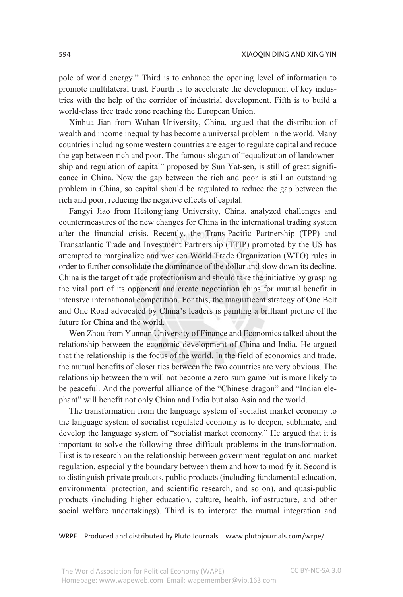pole of world energy." Third is to enhance the opening level of information to promote multilateral trust. Fourth is to accelerate the development of key industries with the help of the corridor of industrial development. Fifth is to build a world-class free trade zone reaching the European Union.

Xinhua Jian from Wuhan University, China, argued that the distribution of wealth and income inequality has become a universal problem in the world. Many countries including some western countries are eager to regulate capital and reduce the gap between rich and poor. The famous slogan of "equalization of landownership and regulation of capital" proposed by Sun Yat-sen, is still of great significance in China. Now the gap between the rich and poor is still an outstanding problem in China, so capital should be regulated to reduce the gap between the rich and poor, reducing the negative effects of capital.

Fangyi Jiao from Heilongjiang University, China, analyzed challenges and countermeasures of the new changes for China in the international trading system after the financial crisis. Recently, the Trans-Pacific Partnership (TPP) and Transatlantic Trade and Investment Partnership (TTIP) promoted by the US has attempted to marginalize and weaken World Trade Organization (WTO) rules in order to further consolidate the dominance of the dollar and slow down its decline. China is the target of trade protectionism and should take the initiative by grasping the vital part of its opponent and create negotiation chips for mutual benefit in intensive international competition. For this, the magnificent strategy of One Belt and One Road advocated by China's leaders is painting a brilliant picture of the future for China and the world.

Wen Zhou from Yunnan University of Finance and Economics talked about the relationship between the economic development of China and India. He argued that the relationship is the focus of the world. In the field of economics and trade, the mutual benefits of closer ties between the two countries are very obvious. The relationship between them will not become a zero-sum game but is more likely to be peaceful. And the powerful alliance of the "Chinese dragon" and "Indian elephant" will benefit not only China and India but also Asia and the world.

The transformation from the language system of socialist market economy to the language system of socialist regulated economy is to deepen, sublimate, and develop the language system of "socialist market economy." He argued that it is important to solve the following three difficult problems in the transformation. First is to research on the relationship between government regulation and market regulation, especially the boundary between them and how to modify it. Second is to distinguish private products, public products (including fundamental education, environmental protection, and scientific research, and so on), and quasi-public products (including higher education, culture, health, infrastructure, and other social welfare undertakings). Third is to interpret the mutual integration and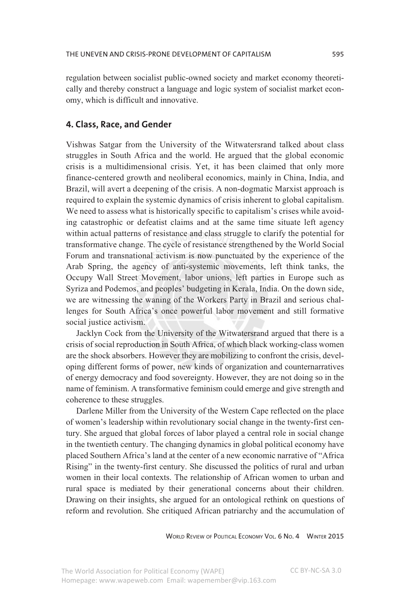regulation between socialist public-owned society and market economy theoretically and thereby construct a language and logic system of socialist market economy, which is difficult and innovative.

## **4. Class, Race, and Gender**

Vishwas Satgar from the University of the Witwatersrand talked about class struggles in South Africa and the world. He argued that the global economic crisis is a multidimensional crisis. Yet, it has been claimed that only more finance-centered growth and neoliberal economics, mainly in China, India, and Brazil, will avert a deepening of the crisis. A non-dogmatic Marxist approach is required to explain the systemic dynamics of crisis inherent to global capitalism. We need to assess what is historically specific to capitalism's crises while avoiding catastrophic or defeatist claims and at the same time situate left agency within actual patterns of resistance and class struggle to clarify the potential for transformative change. The cycle of resistance strengthened by the World Social Forum and transnational activism is now punctuated by the experience of the Arab Spring, the agency of anti-systemic movements, left think tanks, the Occupy Wall Street Movement, labor unions, left parties in Europe such as Syriza and Podemos, and peoples' budgeting in Kerala, India. On the down side, we are witnessing the waning of the Workers Party in Brazil and serious challenges for South Africa's once powerful labor movement and still formative social justice activism.

Jacklyn Cock from the University of the Witwatersrand argued that there is a crisis of social reproduction in South Africa, of which black working-class women are the shock absorbers. However they are mobilizing to confront the crisis, developing different forms of power, new kinds of organization and counternarratives of energy democracy and food sovereignty. However, they are not doing so in the name of feminism. A transformative feminism could emerge and give strength and coherence to these struggles.

Darlene Miller from the University of the Western Cape reflected on the place of women's leadership within revolutionary social change in the twenty-first century. She argued that global forces of labor played a central role in social change in the twentieth century. The changing dynamics in global political economy have placed Southern Africa's land at the center of a new economic narrative of "Africa Rising" in the twenty-first century. She discussed the politics of rural and urban women in their local contexts. The relationship of African women to urban and rural space is mediated by their generational concerns about their children. Drawing on their insights, she argued for an ontological rethink on questions of reform and revolution. She critiqued African patriarchy and the accumulation of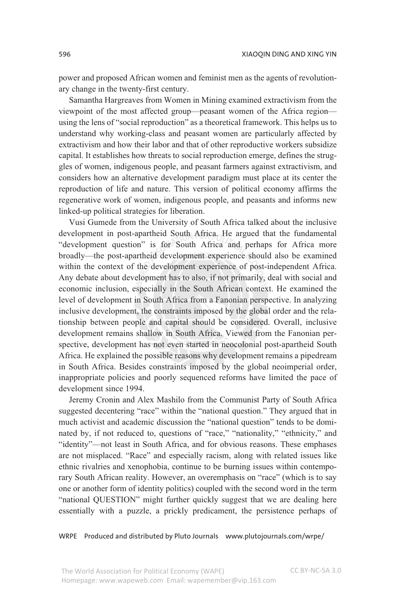power and proposed African women and feminist men as the agents of revolutionary change in the twenty-first century.

Samantha Hargreaves from Women in Mining examined extractivism from the viewpoint of the most affected group—peasant women of the Africa region using the lens of "social reproduction" as a theoretical framework. This helps us to understand why working-class and peasant women are particularly affected by extractivism and how their labor and that of other reproductive workers subsidize capital. It establishes how threats to social reproduction emerge, defines the struggles of women, indigenous people, and peasant farmers against extractivism, and considers how an alternative development paradigm must place at its center the reproduction of life and nature. This version of political economy affirms the regenerative work of women, indigenous people, and peasants and informs new linked-up political strategies for liberation.

Vusi Gumede from the University of South Africa talked about the inclusive development in post-apartheid South Africa. He argued that the fundamental "development question" is for South Africa and perhaps for Africa more broadly—the post-apartheid development experience should also be examined within the context of the development experience of post-independent Africa. Any debate about development has to also, if not primarily, deal with social and economic inclusion, especially in the South African context. He examined the level of development in South Africa from a Fanonian perspective. In analyzing inclusive development, the constraints imposed by the global order and the relationship between people and capital should be considered. Overall, inclusive development remains shallow in South Africa. Viewed from the Fanonian perspective, development has not even started in neocolonial post-apartheid South Africa. He explained the possible reasons why development remains a pipedream in South Africa. Besides constraints imposed by the global neoimperial order, inappropriate policies and poorly sequenced reforms have limited the pace of development since 1994.

Jeremy Cronin and Alex Mashilo from the Communist Party of South Africa suggested decentering "race" within the "national question." They argued that in much activist and academic discussion the "national question" tends to be dominated by, if not reduced to, questions of "race," "nationality," "ethnicity," and "identity"—not least in South Africa, and for obvious reasons. These emphases are not misplaced. "Race" and especially racism, along with related issues like ethnic rivalries and xenophobia, continue to be burning issues within contemporary South African reality. However, an overemphasis on "race" (which is to say one or another form of identity politics) coupled with the second word in the term "national QUESTION" might further quickly suggest that we are dealing here essentially with a puzzle, a prickly predicament, the persistence perhaps of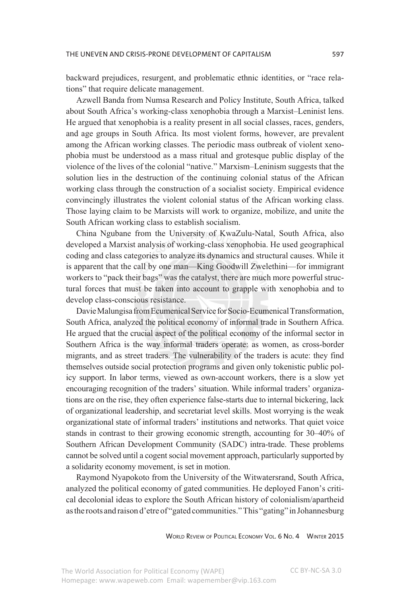backward prejudices, resurgent, and problematic ethnic identities, or "race relations" that require delicate management.

Azwell Banda from Numsa Research and Policy Institute, South Africa, talked about South Africa's working-class xenophobia through a Marxist–Leninist lens. He argued that xenophobia is a reality present in all social classes, races, genders, and age groups in South Africa. Its most violent forms, however, are prevalent among the African working classes. The periodic mass outbreak of violent xenophobia must be understood as a mass ritual and grotesque public display of the violence of the lives of the colonial "native." Marxism–Leninism suggests that the solution lies in the destruction of the continuing colonial status of the African working class through the construction of a socialist society. Empirical evidence convincingly illustrates the violent colonial status of the African working class. Those laying claim to be Marxists will work to organize, mobilize, and unite the South African working class to establish socialism.

China Ngubane from the University of KwaZulu-Natal, South Africa, also developed a Marxist analysis of working-class xenophobia. He used geographical coding and class categories to analyze its dynamics and structural causes. While it is apparent that the call by one man—King Goodwill Zwelethini—for immigrant workers to "pack their bags" was the catalyst, there are much more powerful structural forces that must be taken into account to grapple with xenophobia and to develop class-conscious resistance.

Davie Malungisa from Ecumenical Service for Socio-Ecumenical Transformation, South Africa, analyzed the political economy of informal trade in Southern Africa. He argued that the crucial aspect of the political economy of the informal sector in Southern Africa is the way informal traders operate: as women, as cross-border migrants, and as street traders. The vulnerability of the traders is acute: they find themselves outside social protection programs and given only tokenistic public policy support. In labor terms, viewed as own-account workers, there is a slow yet encouraging recognition of the traders' situation. While informal traders' organizations are on the rise, they often experience false-starts due to internal bickering, lack of organizational leadership, and secretariat level skills. Most worrying is the weak organizational state of informal traders' institutions and networks. That quiet voice stands in contrast to their growing economic strength, accounting for 30–40% of Southern African Development Community (SADC) intra-trade. These problems cannot be solved until a cogent social movement approach, particularly supported by a solidarity economy movement, is set in motion.

Raymond Nyapokoto from the University of the Witwatersrand, South Africa, analyzed the political economy of gated communities. He deployed Fanon's critical decolonial ideas to explore the South African history of colonialism/apartheid as the roots and raison d'etre of "gated communities." This "gating" in Johannesburg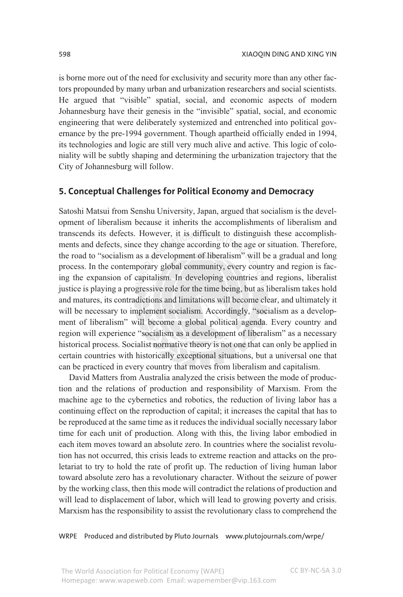is borne more out of the need for exclusivity and security more than any other factors propounded by many urban and urbanization researchers and social scientists. He argued that "visible" spatial, social, and economic aspects of modern Johannesburg have their genesis in the "invisible" spatial, social, and economic engineering that were deliberately systemized and entrenched into political governance by the pre-1994 government. Though apartheid officially ended in 1994, its technologies and logic are still very much alive and active. This logic of coloniality will be subtly shaping and determining the urbanization trajectory that the City of Johannesburg will follow.

## **5. Conceptual Challenges for Political Economy and Democracy**

Satoshi Matsui from Senshu University, Japan, argued that socialism is the development of liberalism because it inherits the accomplishments of liberalism and transcends its defects. However, it is difficult to distinguish these accomplishments and defects, since they change according to the age or situation. Therefore, the road to "socialism as a development of liberalism" will be a gradual and long process. In the contemporary global community, every country and region is facing the expansion of capitalism. In developing countries and regions, liberalist justice is playing a progressive role for the time being, but as liberalism takes hold and matures, its contradictions and limitations will become clear, and ultimately it will be necessary to implement socialism. Accordingly, "socialism as a development of liberalism" will become a global political agenda. Every country and region will experience "socialism as a development of liberalism" as a necessary historical process. Socialist normative theory is not one that can only be applied in certain countries with historically exceptional situations, but a universal one that can be practiced in every country that moves from liberalism and capitalism.

David Matters from Australia analyzed the crisis between the mode of production and the relations of production and responsibility of Marxism. From the machine age to the cybernetics and robotics, the reduction of living labor has a continuing effect on the reproduction of capital; it increases the capital that has to be reproduced at the same time as it reduces the individual socially necessary labor time for each unit of production. Along with this, the living labor embodied in each item moves toward an absolute zero. In countries where the socialist revolution has not occurred, this crisis leads to extreme reaction and attacks on the proletariat to try to hold the rate of profit up. The reduction of living human labor toward absolute zero has a revolutionary character. Without the seizure of power by the working class, then this mode will contradict the relations of production and will lead to displacement of labor, which will lead to growing poverty and crisis. Marxism has the responsibility to assist the revolutionary class to comprehend the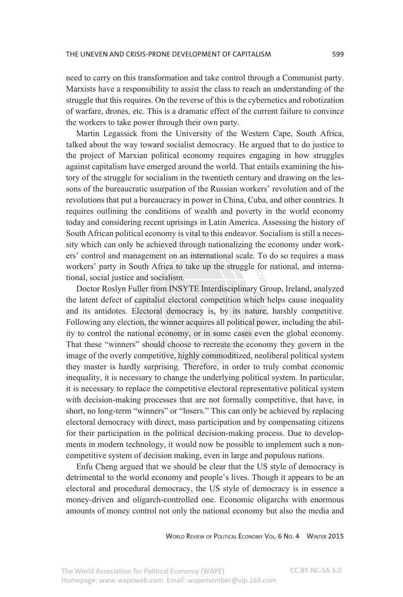need to carry on this transformation and take control through a Communist party. Marxists have a responsibility to assist the class to reach an understanding of the struggle that this requires. On the reverse of this is the cybernetics and robotization of warfare, drones, etc. This is a dramatic effect of the current failure to convince the workers to take power through their own party.

Martin Legassick from the University of the Western Cape, South Africa, talked about the way toward socialist democracy. He argued that to do justice to the project of Marxian political economy requires engaging in how struggles against capitalism have emerged around the world. That entails examining the history of the struggle for socialism in the twentieth century and drawing on the lessons of the bureaucratic usurpation of the Russian workers' revolution and of the revolutions that put a bureaucracy in power in China, Cuba, and other countries. It requires outlining the conditions of wealth and poverty in the world economy today and considering recent uprisings in Latin America. Assessing the history of South African political economy is vital to this endeavor. Socialism is still a necessity which can only be achieved through nationalizing the economy under workers' control and management on an international scale. To do so requires a mass workers' party in South Africa to take up the struggle for national, and international, social justice and socialism.

Doctor Roslyn Fuller from INSYTE Interdisciplinary Group, Ireland, analyzed the latent defect of capitalist electoral competition which helps cause inequality and its antidotes. Electoral democracy is, by its nature, harshly competitive. Following any election, the winner acquires all political power, including the ability to control the national economy, or in some cases even the global economy. That these "winners" should choose to recreate the economy they govern in the image of the overly competitive, highly commoditized, neoliberal political system they master is hardly surprising. Therefore, in order to truly combat economic inequality, it is necessary to change the underlying political system. In particular, it is necessary to replace the competitive electoral representative political system with decision-making processes that are not formally competitive, that have, in short, no long-term "winners" or "losers." This can only be achieved by replacing electoral democracy with direct, mass participation and by compensating citizens for their participation in the political decision-making process. Due to developments in modern technology, it would now be possible to implement such a noncompetitive system of decision making, even in large and populous nations.

Enfu Cheng argued that we should be clear that the US style of democracy is detrimental to the world economy and people's lives. Though it appears to be an electoral and procedural democracy, the US style of democracy is in essence a money-driven and oligarch-controlled one. Economic oligarchs with enormous amounts of money control not only the national economy but also the media and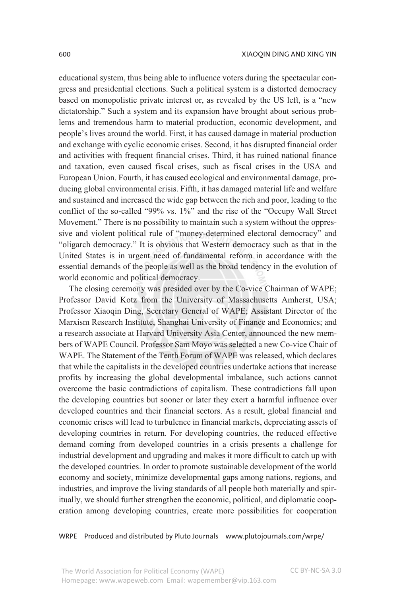educational system, thus being able to influence voters during the spectacular congress and presidential elections. Such a political system is a distorted democracy based on monopolistic private interest or, as revealed by the US left, is a "new dictatorship." Such a system and its expansion have brought about serious problems and tremendous harm to material production, economic development, and people's lives around the world. First, it has caused damage in material production and exchange with cyclic economic crises. Second, it has disrupted financial order and activities with frequent financial crises. Third, it has ruined national finance and taxation, even caused fiscal crises, such as fiscal crises in the USA and European Union. Fourth, it has caused ecological and environmental damage, producing global environmental crisis. Fifth, it has damaged material life and welfare and sustained and increased the wide gap between the rich and poor, leading to the conflict of the so-called "99% vs. 1%" and the rise of the "Occupy Wall Street Movement." There is no possibility to maintain such a system without the oppressive and violent political rule of "money-determined electoral democracy" and "oligarch democracy." It is obvious that Western democracy such as that in the United States is in urgent need of fundamental reform in accordance with the essential demands of the people as well as the broad tendency in the evolution of world economic and political democracy.

The closing ceremony was presided over by the Co-vice Chairman of WAPE; Professor David Kotz from the University of Massachusetts Amherst, USA; Professor Xiaoqin Ding, Secretary General of WAPE; Assistant Director of the Marxism Research Institute, Shanghai University of Finance and Economics; and a research associate at Harvard University Asia Center, announced the new members of WAPE Council. Professor Sam Moyo was selected a new Co-vice Chair of WAPE. The Statement of the Tenth Forum of WAPE was released, which declares that while the capitalists in the developed countries undertake actions that increase profits by increasing the global developmental imbalance, such actions cannot overcome the basic contradictions of capitalism. These contradictions fall upon the developing countries but sooner or later they exert a harmful influence over developed countries and their financial sectors. As a result, global financial and economic crises will lead to turbulence in financial markets, depreciating assets of developing countries in return. For developing countries, the reduced effective demand coming from developed countries in a crisis presents a challenge for industrial development and upgrading and makes it more difficult to catch up with the developed countries. In order to promote sustainable development of the world economy and society, minimize developmental gaps among nations, regions, and industries, and improve the living standards of all people both materially and spiritually, we should further strengthen the economic, political, and diplomatic cooperation among developing countries, create more possibilities for cooperation